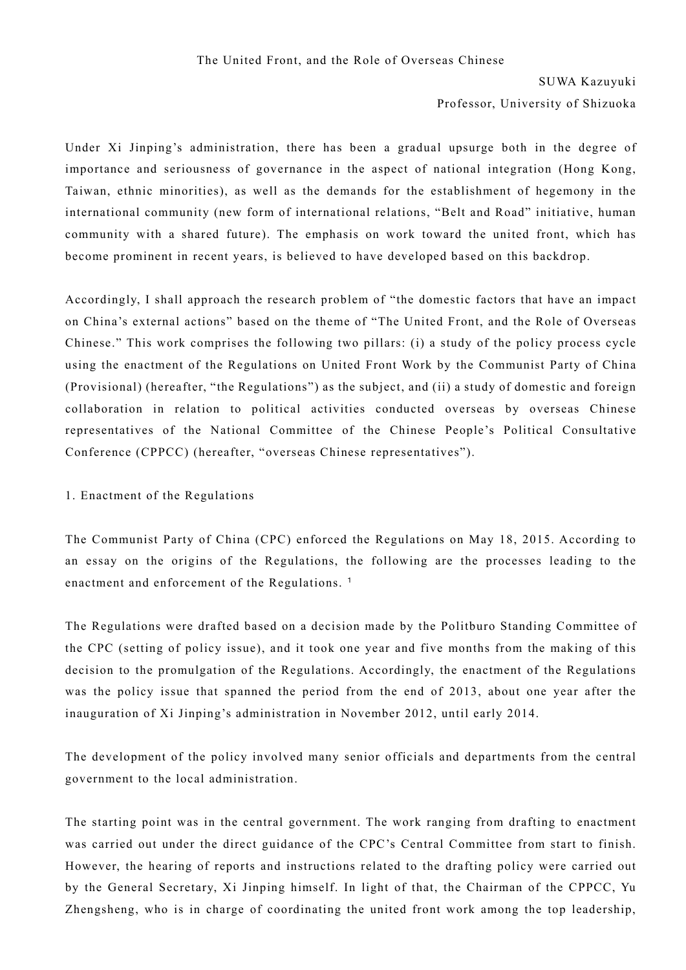## SUWA Kazuyuki

Professor, University of Shizuoka

Under Xi Jinping's administration, there has been a gradual upsurge both in the degree of importance and seriousness of governance in the aspect of national integration (Hong Kong, Taiwan, ethnic minorities), as well as the demands for the establishment of hegemony in the international community (new form of international relations, "Belt and Road" initiative, human community with a shared future). The emphasis on work toward the united front, which has become prominent in recent years, is believed to have developed based on this backdrop.

Accordingly, I shall approach the research problem of "the domestic factors that have an impact on China's external actions" based on the theme of "The United Front, and the Role of Overseas Chinese." This work comprises the following two pillars: (i) a study of the policy process cycle using the enactment of the Regulations on United Front Work by the Communist Party of China (Provisional) (hereafter, "the Regulations") as the subject, and (ii) a study of domestic and foreign collaboration in relation to political activities conducted overseas by overseas Chinese representatives of the National Committee of the Chinese People's Political Consultative Conference (CPPCC) (hereafter, "overseas Chinese representatives").

## 1. Enactment of the Regulations

The Communist Party of China (CPC) enforced the Regulations on May 18, 2015. According to an essay on the origins of the Regulations, the following are the processes leading to the enactment and enforcement of the Regulations.<sup>[1](#page-3-0)</sup>

The Regulations were drafted based on a decision made by the Politburo Standing Committee of the CPC (setting of policy issue), and it took one year and five months from the making of this decision to the promulgation of the Regulations. Accordingly, the enactment of the Regulations was the policy issue that spanned the period from the end of 2013, about one year after the inauguration of Xi Jinping's administration in November 2012, until early 2014.

The development of the policy involved many senior officials and departments from the central government to the local administration.

The starting point was in the central government. The work ranging from drafting to enactment was carried out under the direct guidance of the CPC's Central Committee from start to finish. However, the hearing of reports and instructions related to the drafting policy were carried out by the General Secretary, Xi Jinping himself. In light of that, the Chairman of the CPPCC, Yu Zhengsheng, who is in charge of coordinating the united front work among the top leadership,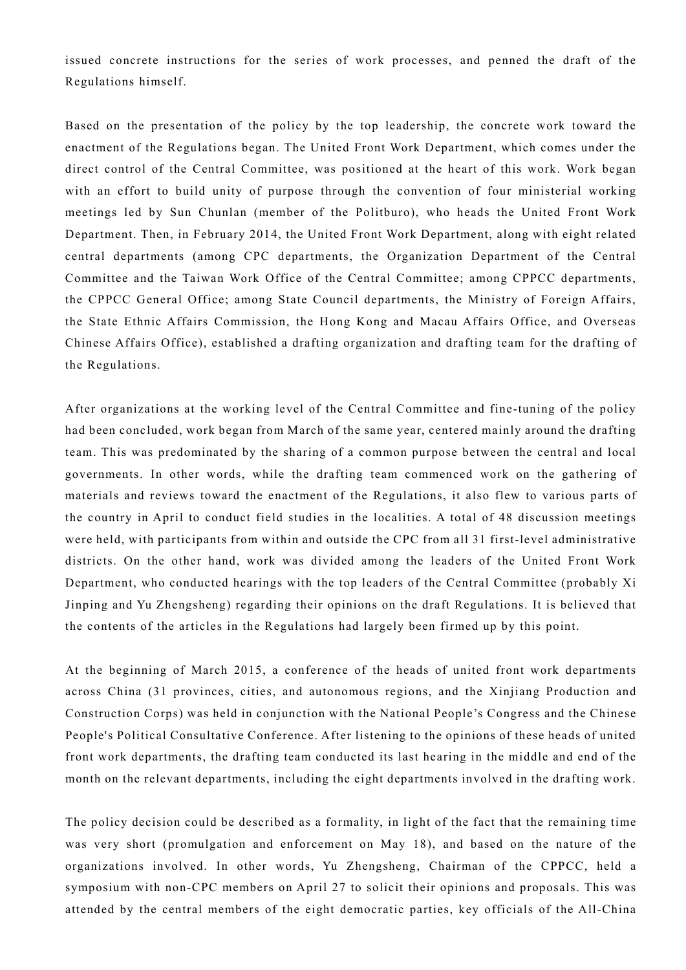issued concrete instructions for the series of work processes, and penned the draft of the Regulations himself.

Based on the presentation of the policy by the top leadership, the concrete work toward the enactment of the Regulations began. The United Front Work Department, which comes under the direct control of the Central Committee, was positioned at the heart of this work. Work began with an effort to build unity of purpose through the convention of four ministerial working meetings led by Sun Chunlan (member of the Politburo), who heads the United Front Work Department. Then, in February 2014, the United Front Work Department, along with eight related central departments (among CPC departments, the Organization Department of the Central Committee and the Taiwan Work Office of the Central Committee; among CPPCC departments, the CPPCC General Office; among State Council departments, the Ministry of Foreign Affairs, the State Ethnic Affairs Commission, the Hong Kong and Macau Affairs Office, and Overseas Chinese Affairs Office), established a drafting organization and drafting team for the drafting of the Regulations.

After organizations at the working level of the Central Committee and fine-tuning of the policy had been concluded, work began from March of the same year, centered mainly around the drafting team. This was predominated by the sharing of a common purpose between the central and local governments. In other words, while the drafting team commenced work on the gathering of materials and reviews toward the enactment of the Regulations, it also flew to various parts of the country in April to conduct field studies in the localities. A total of 48 discussion meetings were held, with participants from within and outside the CPC from all 31 first-level administrative districts. On the other hand, work was divided among the leaders of the United Front Work Department, who conducted hearings with the top leaders of the Central Committee (probably Xi Jinping and Yu Zhengsheng) regarding their opinions on the draft Regulations. It is believed that the contents of the articles in the Regulations had largely been firmed up by this point.

At the beginning of March 2015, a conference of the heads of united front work departments across China (31 provinces, cities, and autonomous regions, and the Xinjiang Production and Construction Corps) was held in conjunction with the National People's Congress and the Chinese People's Political Consultative Conference. After listening to the opinions of these heads of united front work departments, the drafting team conducted its last hearing in the middle and end of the month on the relevant departments, including the eight departments involved in the drafting work.

The policy decision could be described as a formality, in light of the fact that the remaining time was very short (promulgation and enforcement on May 18), and based on the nature of the organizations involved. In other words, Yu Zhengsheng, Chairman of the CPPCC, held a symposium with non-CPC members on April 27 to solicit their opinions and proposals. This was attended by the central members of the eight democratic parties, key officials of the All-China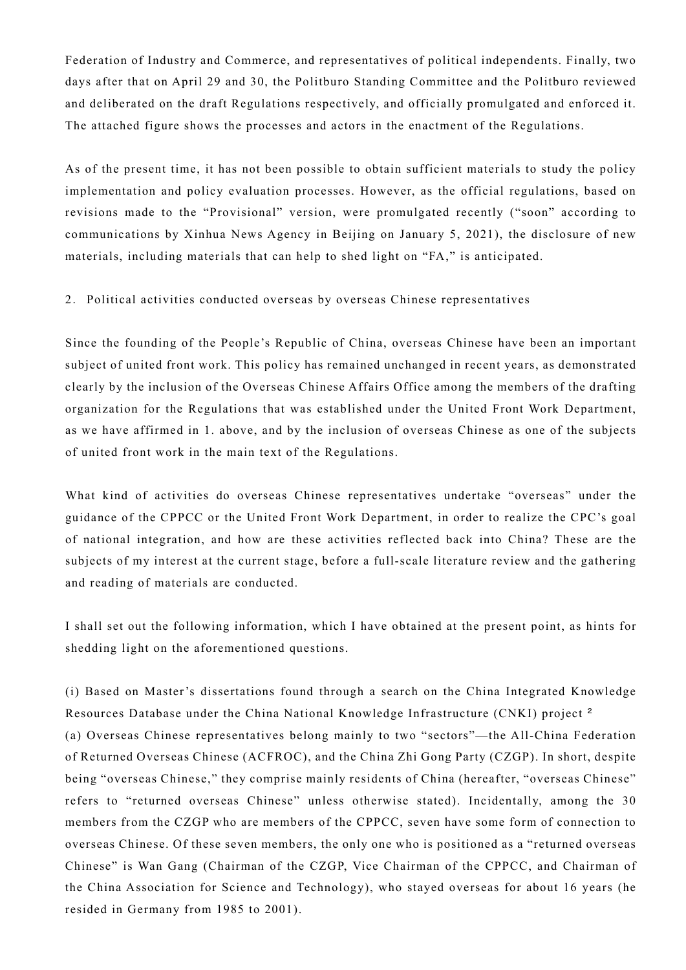Federation of Industry and Commerce, and representatives of political independents. Finally, two days after that on April 29 and 30, the Politburo Standing Committee and the Politburo reviewed and deliberated on the draft Regulations respectively, and officially promulgated and enforced it. The attached figure shows the processes and actors in the enactment of the Regulations.

As of the present time, it has not been possible to obtain sufficient materials to study the policy implementation and policy evaluation processes. However, as the official regulations, based on revisions made to the "Provisional" version, were promulgated recently ("soon" according to communications by Xinhua News Agency in Beijing on January 5, 2021), the disclosure of new materials, including materials that can help to shed light on "FA," is anticipated.

2. Political activities conducted overseas by overseas Chinese representatives

Since the founding of the People's Republic of China, overseas Chinese have been an important subject of united front work. This policy has remained unchanged in recent years, as demonstrated clearly by the inclusion of the Overseas Chinese Affairs Office among the members of the drafting organization for the Regulations that was established under the United Front Work Department, as we have affirmed in 1. above, and by the inclusion of overseas Chinese as one of the subjects of united front work in the main text of the Regulations.

What kind of activities do overseas Chinese representatives undertake "overseas" under the guidance of the CPPCC or the United Front Work Department, in order to realize the CPC's goal of national integration, and how are these activities reflected back into China? These are the subjects of my interest at the current stage, before a full-scale literature review and the gathering and reading of materials are conducted.

I shall set out the following information, which I have obtained at the present point, as hints for shedding light on the aforementioned questions.

(i) Based on Master's dissertations found through a search on the China Integrated Knowledge Resources Database under the China National Knowledge Infrastructure (CNKI) project [2](#page-3-1) (a) Overseas Chinese representatives belong mainly to two "sectors"—the All-China Federation of Returned Overseas Chinese (ACFROC), and the China Zhi Gong Party (CZGP). In short, despite being "overseas Chinese," they comprise mainly residents of China (hereafter, "overseas Chinese" refers to "returned overseas Chinese" unless otherwise stated). Incidentally, among the 30 members from the CZGP who are members of the CPPCC, seven have some form of connection to overseas Chinese. Of these seven members, the only one who is positioned as a "returned overseas Chinese" is Wan Gang (Chairman of the CZGP, Vice Chairman of the CPPCC, and Chairman of the China Association for Science and Technology), who stayed overseas for about 16 years (he resided in Germany from 1985 to 2001).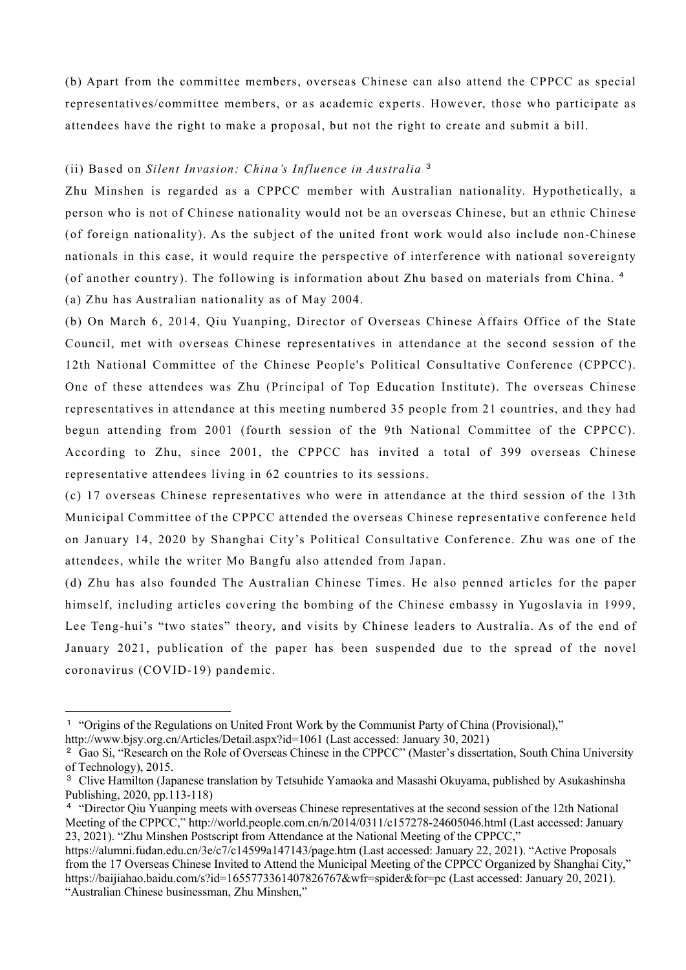(b) Apart from the committee members, overseas Chinese can also attend the CPPCC as special representatives/committee members, or as academic experts. However, those who participate as attendees have the right to make a proposal, but not the right to create and submit a bill.

## (ii) Based on *Silent Invasion: China's Influence in Australia* [3](#page-3-2)

Zhu Minshen is regarded as a CPPCC member with Australian nationality. Hypothetically, a person who is not of Chinese nationality would not be an overseas Chinese, but an ethnic Chinese (of foreign nationality). As the subject of the united front work would also include non-Chinese nationals in this case, it would require the perspective of interference with national sovereignty (of another country). The following is information about Zhu based on materials from China. [4](#page-3-3) (a) Zhu has Australian nationality as of May 2004.

(b) On March 6, 2014, Qiu Yuanping, Director of Overseas Chinese Affairs Office of the State Council, met with overseas Chinese representatives in attendance at the second session of the 12th National Committee of the Chinese People's Political Consultative Conference (CPPCC). One of these attendees was Zhu (Principal of Top Education Institute). The overseas Chinese representatives in attendance at this meeting numbered 35 people from 21 countries, and they had begun attending from 2001 (fourth session of the 9th National Committee of the CPPCC). According to Zhu, since 2001, the CPPCC has invited a total of 399 overseas Chinese representative attendees living in 62 countries to its sessions.

(c) 17 overseas Chinese representatives who were in attendance at the third session of the 13th Municipal Committee of the CPPCC attended the overseas Chinese representative conference held on January 14, 2020 by Shanghai City's Political Consultative Conference. Zhu was one of the attendees, while the writer Mo Bangfu also attended from Japan.

(d) Zhu has also founded The Australian Chinese Times. He also penned articles for the paper himself, including articles covering the bombing of the Chinese embassy in Yugoslavia in 1999, Lee Teng-hui's "two states" theory, and visits by Chinese leaders to Australia. As of the end of January 2021, publication of the paper has been suspended due to the spread of the novel coronavirus (COVID-19) pandemic.

<span id="page-3-0"></span><sup>1</sup> "Origins of the Regulations on United Front Work by the Communist Party of China (Provisional)," http://www.bjsy.org.cn/Articles/Detail.aspx?id=1061 (Last accessed: January 30, 2021)

<span id="page-3-1"></span><sup>2</sup> Gao Si, "Research on the Role of Overseas Chinese in the CPPCC" (Master's dissertation, South China University of Technology), 2015.

<span id="page-3-2"></span><sup>&</sup>lt;sup>3</sup> Clive Hamilton (Japanese translation by Tetsuhide Yamaoka and Masashi Okuyama, published by Asukashinsha Publishing, 2020, pp.113-118)

<span id="page-3-3"></span><sup>4</sup> "Director Qiu Yuanping meets with overseas Chinese representatives at the second session of the 12th National Meeting of the CPPCC," http://world.people.com.cn/n/2014/0311/c157278-24605046.html (Last accessed: January 23, 2021). "Zhu Minshen Postscript from Attendance at the National Meeting of the CPPCC,"

https://alumni.fudan.edu.cn/3e/c7/c14599a147143/page.htm (Last accessed: January 22, 2021). "Active Proposals from the 17 Overseas Chinese Invited to Attend the Municipal Meeting of the CPPCC Organized by Shanghai City," https://baijiahao.baidu.com/s?id=1655773361407826767&wfr=spider&for=pc (Last accessed: January 20, 2021). "Australian Chinese businessman, Zhu Minshen,"